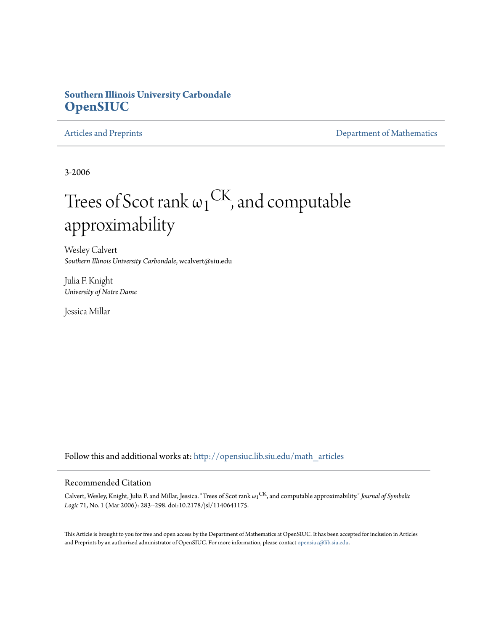## **Southern Illinois University Carbondale [OpenSIUC](http://opensiuc.lib.siu.edu?utm_source=opensiuc.lib.siu.edu%2Fmath_articles%2F123&utm_medium=PDF&utm_campaign=PDFCoverPages)**

[Articles and Preprints](http://opensiuc.lib.siu.edu/math_articles?utm_source=opensiuc.lib.siu.edu%2Fmath_articles%2F123&utm_medium=PDF&utm_campaign=PDFCoverPages) **[Department of Mathematics](http://opensiuc.lib.siu.edu/math?utm_source=opensiuc.lib.siu.edu%2Fmath_articles%2F123&utm_medium=PDF&utm_campaign=PDFCoverPages)** 

3-2006

# Trees of Scot rank  $\omega_1^\text{CK}$ , and computable approximability

Wesley Calvert *Southern Illinois University Carbondale*, wcalvert@siu.edu

Julia F. Knight *University of Notre Dame*

Jessica Millar

Follow this and additional works at: [http://opensiuc.lib.siu.edu/math\\_articles](http://opensiuc.lib.siu.edu/math_articles?utm_source=opensiuc.lib.siu.edu%2Fmath_articles%2F123&utm_medium=PDF&utm_campaign=PDFCoverPages)

## Recommended Citation

Calvert, Wesley, Knight, Julia F. and Millar, Jessica. "Trees of Scot rank  $\omega_1^\text{CK}$ , and computable approximability." *Journal of Symbolic Logic* 71, No. 1 (Mar 2006): 283--298. doi:10.2178/jsl/1140641175.

This Article is brought to you for free and open access by the Department of Mathematics at OpenSIUC. It has been accepted for inclusion in Articles and Preprints by an authorized administrator of OpenSIUC. For more information, please contact [opensiuc@lib.siu.edu](mailto:opensiuc@lib.siu.edu).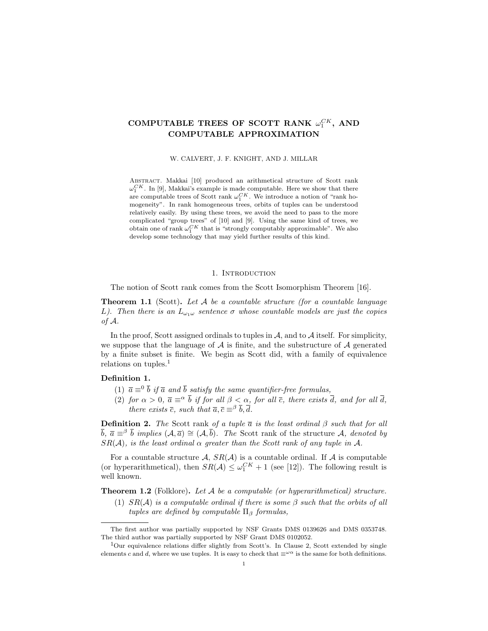## COMPUTABLE TREES OF SCOTT RANK  $\omega_1^{CK}$ , AND COMPUTABLE APPROXIMATION

W. CALVERT, J. F. KNIGHT, AND J. MILLAR

ABSTRACT. Makkai [10] produced an arithmetical structure of Scott rank  $\omega_1^{CK}$ . In [9], Makkai's example is made computable. Here we show that there are computable trees of Scott rank  $\omega_1^{CK}$ . We introduce a notion of "rank homogeneity". In rank homogeneous trees, orbits of tuples can be understood relatively easily. By using these trees, we avoid the need to pass to the more complicated "group trees" of [10] and [9]. Using the same kind of trees, we obtain one of rank  $\omega_1^{CK}$  that is "strongly computably approximable". We also develop some technology that may yield further results of this kind.

#### 1. INTRODUCTION

The notion of Scott rank comes from the Scott Isomorphism Theorem [16].

**Theorem 1.1** (Scott). Let  $A$  be a countable structure (for a countable language L). Then there is an  $L_{\omega_1\omega}$  sentence  $\sigma$  whose countable models are just the copies of A.

In the proof, Scott assigned ordinals to tuples in  $A$ , and to  $A$  itself. For simplicity, we suppose that the language of  $A$  is finite, and the substructure of  $A$  generated by a finite subset is finite. We begin as Scott did, with a family of equivalence relations on tuples. $<sup>1</sup>$ </sup>

#### Definition 1.

- (1)  $\bar{a} \equiv 0 \bar{b}$  if  $\bar{a}$  and  $\bar{b}$  satisfy the same quantifier-free formulas,
- (2) for  $\alpha > 0$ ,  $\overline{a} \equiv^{\alpha} \overline{b}$  if for all  $\beta < \alpha$ , for all  $\overline{c}$ , there exists  $\overline{d}$ , and for all  $\overline{d}$ , there exists  $\bar{c}$ , such that  $\bar{a}, \bar{c} \equiv^{\beta} \bar{b}, \bar{d}$ .

**Definition 2.** The Scott rank of a tuple  $\bar{a}$  is the least ordinal  $\beta$  such that for all  $\bar{b}, \bar{a} \equiv^{\beta} \bar{b}$  implies  $(A, \bar{a}) \cong (A, \bar{b})$ . The Scott rank of the structure A, denoted by  $SR(\mathcal{A})$ , is the least ordinal  $\alpha$  greater than the Scott rank of any tuple in  $\mathcal{A}$ .

For a countable structure A,  $SR(A)$  is a countable ordinal. If A is computable (or hyperarithmetical), then  $SR(\mathcal{A}) \leq \omega_1^{CK} + 1$  (see [12]). The following result is well known.

**Theorem 1.2** (Folklore). Let  $A$  be a computable (or hyperarithmetical) structure.

(1)  $SR(\mathcal{A})$  is a computable ordinal if there is some  $\beta$  such that the orbits of all tuples are defined by computable  $\Pi_{\beta}$  formulas,

The first author was partially supported by NSF Grants DMS 0139626 and DMS 0353748. The third author was partially supported by NSF Grant DMS 0102052.

<sup>&</sup>lt;sup>1</sup>Our equivalence relations differ slightly from Scott's. In Clause 2, Scott extended by single elements c and d, where we use tuples. It is easy to check that  $\equiv^{\omega \alpha}$  is the same for both definitions.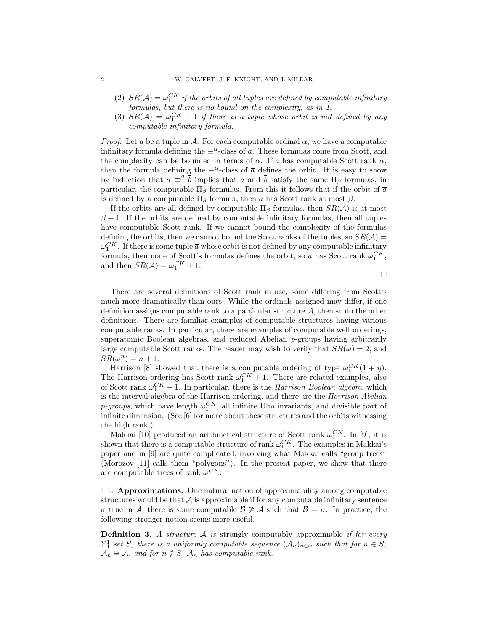- (2)  $SR(\mathcal{A}) = \omega_1^{CK}$  if the orbits of all tuples are defined by computable infinitary formulas, but there is no bound on the complexity, as in 1,
- (3)  $SR(\mathcal{A}) = \omega_1^{CK} + 1$  if there is a tuple whose orbit is not defined by any computable infinitary formula.

*Proof.* Let  $\bar{a}$  be a tuple in A. For each computable ordinal  $\alpha$ , we have a computable infinitary formula defining the  $\equiv^{\alpha}$ -class of  $\bar{a}$ . These formulas come from Scott, and the complexity can be bounded in terms of  $\alpha$ . If  $\bar{a}$  has computable Scott rank  $\alpha$ , then the formula defining the  $\equiv^{\alpha}$ -class of  $\bar{a}$  defines the orbit. It is easy to show by induction that  $\bar{a} \equiv \beta \bar{b}$  implies that  $\bar{a}$  and  $\bar{b}$  satisfy the same  $\Pi_{\beta}$  formulas, in particular, the computable  $\Pi_{\beta}$  formulas. From this it follows that if the orbit of  $\bar{a}$ is defined by a computable  $\Pi_\beta$  formula, then  $\overline{a}$  has Scott rank at most  $\beta$ .

If the orbits are all defined by computable  $\Pi_{\beta}$  formulas, then  $SR(\mathcal{A})$  is at most  $\beta$  + 1. If the orbits are defined by computable infinitary formulas, then all tuples have computable Scott rank. If we cannot bound the complexity of the formulas defining the orbits, then we cannot bound the Scott ranks of the tuples, so  $SR(\mathcal{A}) =$  $\omega_1^{CK}$ . If there is some tuple  $\bar{a}$  whose orbit is not defined by any computable infinitary formula, then none of Scott's formulas defines the orbit, so  $\bar{a}$  has Scott rank  $\omega_1^{CK}$ , and then  $SR(\mathcal{A}) = \omega_1^{CK} + 1$ .

 $\Box$ 

There are several definitions of Scott rank in use, some differing from Scott's much more dramatically than ours. While the ordinals assigned may differ, if one definition assigns computable rank to a particular structure  $A$ , then so do the other definitions. There are familiar examples of computable structures having various computable ranks. In particular, there are examples of computable well orderings, superatomic Boolean algebras, and reduced Abelian p-groups having arbitrarily large computable Scott ranks. The reader may wish to verify that  $SR(\omega) = 2$ , and  $SR(\omega^n) = n + 1.$ 

Harrison [8] showed that there is a computable ordering of type  $\omega_1^{CK}(1+\eta)$ . The Harrison ordering has Scott rank  $\omega_1^{CK} + 1$ . There are related examples, also of Scott rank  $\omega_1^{CK} + 1$ . In particular, there is the *Harrison Boolean algebra*, which is the interval algebra of the Harrison ordering, and there are the Harrison Abelian *p*-groups, which have length  $\omega_1^{CK}$ , all infinite Ulm invariants, and divisible part of infinite dimension. (See [6] for more about these structures and the orbits witnessing the high rank.)

Makkai [10] produced an arithmetical structure of Scott rank  $\omega_1^{CK}$ . In [9], it is shown that there is a computable structure of rank  $\omega_1^{CK}$ . The examples in Makkai's paper and in [9] are quite complicated, involving what Makkai calls "group trees" (Morozov [11] calls them "polygons"). In the present paper, we show that there are computable trees of rank  $\omega_1^{CK}$ .

1.1. Approximations. One natural notion of approximability among computable structures would be that  $\mathcal A$  is approximable if for any computable infinitary sentence σ true in A, there is some computable  $\beta \ncong A$  such that  $\beta \models \sigma$ . In practice, the following stronger notion seems more useful.

**Definition 3.** A structure  $A$  is strongly computably approximable if for every  $\Sigma_1^1$  set S, there is a uniformly computable sequence  $(A_n)_{n\in\omega}$  such that for  $n \in S$ ,  $\mathcal{A}_n \cong \mathcal{A}$ , and for  $n \notin S$ ,  $\mathcal{A}_n$  has computable rank.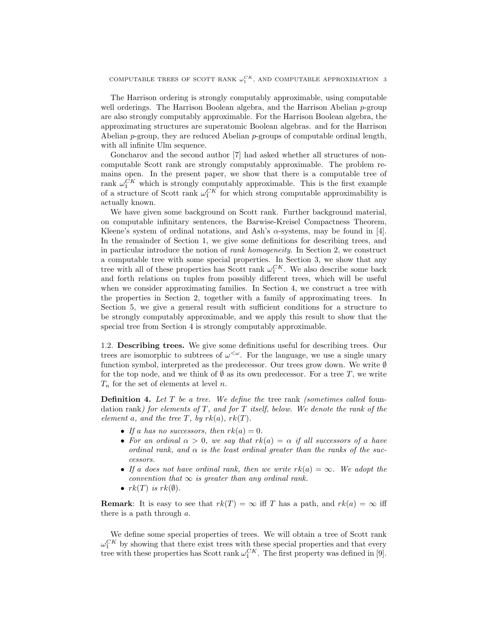The Harrison ordering is strongly computably approximable, using computable well orderings. The Harrison Boolean algebra, and the Harrison Abelian  $p$ -group are also strongly computably approximable. For the Harrison Boolean algebra, the approximating structures are superatomic Boolean algebras. and for the Harrison Abelian  $p$ -group, they are reduced Abelian  $p$ -groups of computable ordinal length, with all infinite Ulm sequence.

Goncharov and the second author [7] had asked whether all structures of noncomputable Scott rank are strongly computably approximable. The problem remains open. In the present paper, we show that there is a computable tree of rank  $\omega_1^{CK}$  which is strongly computably approximable. This is the first example of a structure of Scott rank  $\omega_1^{CK}$  for which strong computable approximability is actually known.

We have given some background on Scott rank. Further background material, on computable infinitary sentences, the Barwise-Kreisel Compactness Theorem, Kleene's system of ordinal notations, and Ash's  $\alpha$ -systems, may be found in [4]. In the remainder of Section 1, we give some definitions for describing trees, and in particular introduce the notion of rank homogeneity. In Section 2, we construct a computable tree with some special properties. In Section 3, we show that any tree with all of these properties has Scott rank  $\omega_1^{CK}$ . We also describe some back and forth relations on tuples from possibly different trees, which will be useful when we consider approximating families. In Section 4, we construct a tree with the properties in Section 2, together with a family of approximating trees. In Section 5, we give a general result with sufficient conditions for a structure to be strongly computably approximable, and we apply this result to show that the special tree from Section 4 is strongly computably approximable.

1.2. Describing trees. We give some definitions useful for describing trees. Our trees are isomorphic to subtrees of  $\omega^{\langle \omega \rangle}$ . For the language, we use a single unary function symbol, interpreted as the predecessor. Our trees grow down. We write  $\emptyset$ for the top node, and we think of  $\emptyset$  as its own predecessor. For a tree T, we write  $T_n$  for the set of elements at level n.

**Definition 4.** Let  $T$  be a tree. We define the tree rank (sometimes called foundation rank) for elements of  $T$ , and for  $T$  itself, below. We denote the rank of the element a, and the tree T, by  $rk(a)$ ,  $rk(T)$ .

- If a has no successors, then  $rk(a) = 0$ .
- For an ordinal  $\alpha > 0$ , we say that  $rk(a) = \alpha$  if all successors of a have ordinal rank, and  $\alpha$  is the least ordinal greater than the ranks of the successors.
- If a does not have ordinal rank, then we write  $rk(a) = \infty$ . We adopt the convention that  $\infty$  is greater than any ordinal rank.
- $rk(T)$  is  $rk(\emptyset)$ .

**Remark:** It is easy to see that  $rk(T) = \infty$  iff T has a path, and  $rk(a) = \infty$  iff there is a path through a.

We define some special properties of trees. We will obtain a tree of Scott rank  $\omega_1^{CK}$  by showing that there exist trees with these special properties and that every tree with these properties has Scott rank  $\omega_1^{CK}$ . The first property was defined in [9].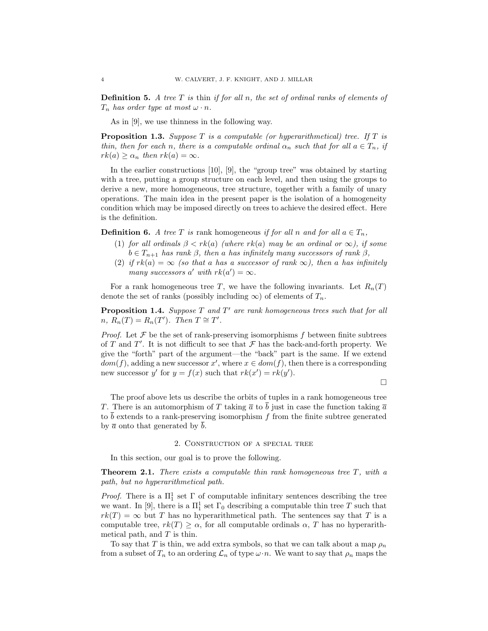**Definition 5.** A tree  $T$  is thin if for all  $n$ , the set of ordinal ranks of elements of  $T_n$  has order type at most  $\omega \cdot n$ .

As in [9], we use thinness in the following way.

**Proposition 1.3.** Suppose T is a computable (or hyperarithmetical) tree. If T is thin, then for each n, there is a computable ordinal  $\alpha_n$  such that for all  $a \in T_n$ , if  $rk(a) \geq \alpha_n$  then  $rk(a) = \infty$ .

In the earlier constructions [10], [9], the "group tree" was obtained by starting with a tree, putting a group structure on each level, and then using the groups to derive a new, more homogeneous, tree structure, together with a family of unary operations. The main idea in the present paper is the isolation of a homogeneity condition which may be imposed directly on trees to achieve the desired effect. Here is the definition.

**Definition 6.** A tree T is rank homogeneous if for all n and for all  $a \in T_n$ ,

- (1) for all ordinals  $\beta < rk(a)$  (where  $rk(a)$  may be an ordinal or  $\infty$ ), if some  $b \in T_{n+1}$  has rank  $\beta$ , then a has infinitely many successors of rank  $\beta$ ,
- (2) if  $rk(a) = \infty$  (so that a has a successor of rank  $\infty$ ), then a has infinitely many successors a' with  $rk(a') = \infty$ .

For a rank homogeneous tree T, we have the following invariants. Let  $R_n(T)$ denote the set of ranks (possibly including  $\infty$ ) of elements of  $T_n$ .

**Proposition 1.4.** Suppose  $T$  and  $T'$  are rank homogeneous trees such that for all  $n, R_n(T) = R_n(T')$ . Then  $T \cong T'$ .

*Proof.* Let  $\mathcal F$  be the set of rank-preserving isomorphisms  $f$  between finite subtrees of T and T'. It is not difficult to see that  $\mathcal F$  has the back-and-forth property. We give the "forth" part of the argument—the "back" part is the same. If we extend  $dom(f)$ , adding a new successor x', where  $x \in dom(f)$ , then there is a corresponding new successor y' for  $y = f(x)$  such that  $rk(x') = rk(y')$ .

 $\Box$ 

The proof above lets us describe the orbits of tuples in a rank homogeneous tree T. There is an automorphism of T taking  $\bar{a}$  to  $\bar{b}$  just in case the function taking  $\bar{a}$ to  $\bar{b}$  extends to a rank-preserving isomorphism f from the finite subtree generated by  $\bar{a}$  onto that generated by  $\bar{b}$ .

#### 2. Construction of a special tree

In this section, our goal is to prove the following.

**Theorem 2.1.** There exists a computable thin rank homogeneous tree  $T$ , with a path, but no hyperarithmetical path.

*Proof.* There is a  $\Pi_1^1$  set  $\Gamma$  of computable infinitary sentences describing the tree we want. In [9], there is a  $\Pi^1_1$  set  $\Gamma_0$  describing a computable thin tree T such that  $rk(T) = \infty$  but T has no hyperarithmetical path. The sentences say that T is a computable tree,  $rk(T) \geq \alpha$ , for all computable ordinals  $\alpha$ , T has no hyperarithmetical path, and  $T$  is thin.

To say that T is thin, we add extra symbols, so that we can talk about a map  $\rho_n$ from a subset of  $T_n$  to an ordering  $\mathcal{L}_n$  of type  $\omega \cdot n$ . We want to say that  $\rho_n$  maps the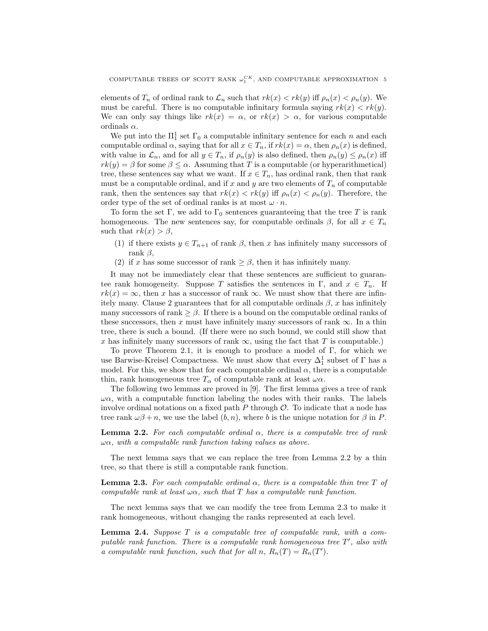elements of  $T_n$  of ordinal rank to  $\mathcal{L}_n$  such that  $rk(x) < rk(y)$  iff  $\rho_n(x) < \rho_n(y)$ . We must be careful. There is no computable infinitary formula saying  $rk(x) < rk(y)$ . We can only say things like  $rk(x) = \alpha$ , or  $rk(x) > \alpha$ , for various computable ordinals  $\alpha$ .

We put into the  $\Pi_1^1$  set  $\Gamma_0$  a computable infinitary sentence for each n and each computable ordinal  $\alpha$ , saying that for all  $x \in T_n$ , if  $rk(x) = \alpha$ , then  $\rho_n(x)$  is defined, with value in  $\mathcal{L}_n$ , and for all  $y \in T_n$ , if  $\rho_n(y)$  is also defined, then  $\rho_n(y) \leq \rho_n(x)$  iff  $rk(y) = \beta$  for some  $\beta \leq \alpha$ . Assuming that T is a computable (or hyperarithmetical) tree, these sentences say what we want. If  $x \in T_n$ , has ordinal rank, then that rank must be a computable ordinal, and if x and y are two elements of  $T_n$  of computable rank, then the sentences say that  $rk(x) < rk(y)$  iff  $\rho_n(x) < \rho_n(y)$ . Therefore, the order type of the set of ordinal ranks is at most  $\omega \cdot n$ .

To form the set Γ, we add to  $\Gamma_0$  sentences guaranteeing that the tree T is rank homogeneous. The new sentences say, for computable ordinals  $\beta$ , for all  $x \in T_n$ such that  $rk(x) > \beta$ ,

- (1) if there exists  $y \in T_{n+1}$  of rank  $\beta$ , then x has infinitely many successors of rank  $\beta$ ,
- (2) if x has some successor of rank  $\geq \beta$ , then it has infinitely many.

It may not be immediately clear that these sentences are sufficient to guarantee rank homogeneity. Suppose T satisfies the sentences in Γ, and  $x \in T_n$ . If  $rk(x) = \infty$ , then x has a successor of rank  $\infty$ . We must show that there are infinitely many. Clause 2 guarantees that for all computable ordinals  $\beta$ , x has infinitely many successors of rank  $\geq \beta$ . If there is a bound on the computable ordinal ranks of these successors, then x must have infinitely many successors of rank  $\infty$ . In a thin tree, there is such a bound. (If there were no such bound, we could still show that x has infinitely many successors of rank  $\infty$ , using the fact that T is computable.)

To prove Theorem 2.1, it is enough to produce a model of Γ, for which we use Barwise-Kreisel Compactness. We must show that every  $\Delta^1_1$  subset of  $\Gamma$  has a model. For this, we show that for each computable ordinal  $\alpha$ , there is a computable thin, rank homogeneous tree  $T_{\alpha}$  of computable rank at least  $\omega \alpha$ .

The following two lemmas are proved in [9]. The first lemma gives a tree of rank  $\omega\alpha$ , with a computable function labeling the nodes with their ranks. The labels involve ordinal notations on a fixed path  $P$  through  $\mathcal O$ . To indicate that a node has tree rank  $\omega\beta + n$ , we use the label  $(b, n)$ , where b is the unique notation for  $\beta$  in P.

**Lemma 2.2.** For each computable ordinal  $\alpha$ , there is a computable tree of rank  $\omega\alpha$ , with a computable rank function taking values as above.

The next lemma says that we can replace the tree from Lemma 2.2 by a thin tree, so that there is still a computable rank function.

**Lemma 2.3.** For each computable ordinal  $\alpha$ , there is a computable thin tree T of computable rank at least  $\omega \alpha$ , such that T has a computable rank function.

The next lemma says that we can modify the tree from Lemma 2.3 to make it rank homogeneous, without changing the ranks represented at each level.

**Lemma 2.4.** Suppose  $T$  is a computable tree of computable rank, with a computable rank function. There is a computable rank homogeneous tree  $T'$ , also with a computable rank function, such that for all n,  $R_n(T) = R_n(T')$ .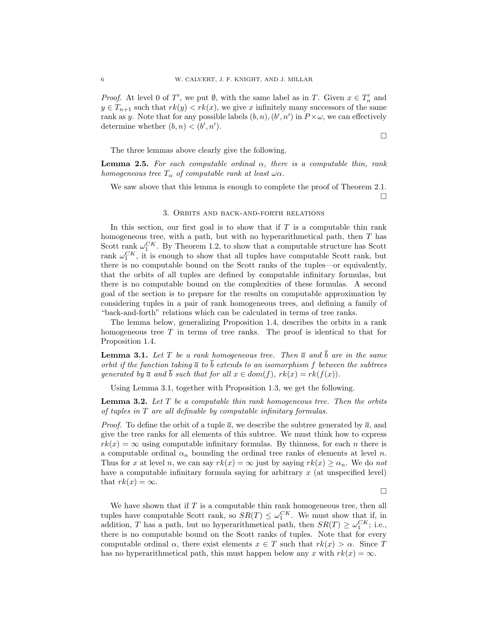*Proof.* At level 0 of T', we put  $\emptyset$ , with the same label as in T. Given  $x \in T'_n$  and  $y \in T_{n+1}$  such that  $rk(y) < rk(x)$ , we give x infinitely many successors of the same rank as y. Note that for any possible labels  $(b, n)$ ,  $(b', n')$  in  $P \times \omega$ , we can effectively determine whether  $(b, n) < (b', n')$ .

The three lemmas above clearly give the following.

**Lemma 2.5.** For each computable ordinal  $\alpha$ , there is a computable thin, rank homogeneous tree  $T_{\alpha}$  of computable rank at least  $\omega \alpha$ .

We saw above that this lemma is enough to complete the proof of Theorem 2.1.  $\Box$ 

#### 3. Orbits and back-and-forth relations

In this section, our first goal is to show that if  $T$  is a computable thin rank homogeneous tree, with a path, but with no hyperarithmetical path, then  $T$  has Scott rank  $\omega_1^{CK}$ . By Theorem 1.2, to show that a computable structure has Scott rank  $\omega_1^{CK}$ , it is enough to show that all tuples have computable Scott rank, but there is no computable bound on the Scott ranks of the tuples—or equivalently, that the orbits of all tuples are defined by computable infinitary formulas, but there is no computable bound on the complexities of these formulas. A second goal of the section is to prepare for the results on computable approximation by considering tuples in a pair of rank homogeneous trees, and defining a family of "back-and-forth" relations which can be calculated in terms of tree ranks.

The lemma below, generalizing Proposition 1.4, describes the orbits in a rank homogeneous tree  $T$  in terms of tree ranks. The proof is identical to that for Proposition 1.4.

**Lemma 3.1.** Let T be a rank homogeneous tree. Then  $\overline{a}$  and  $\overline{b}$  are in the same orbit if the function taking  $\bar{a}$  to  $\bar{b}$  extends to an isomorphism f between the subtrees generated by  $\overline{a}$  and b such that for all  $x \in dom(f)$ ,  $rk(x) = rk(f(x))$ .

Using Lemma 3.1, together with Proposition 1.3, we get the following.

**Lemma 3.2.** Let  $T$  be a computable thin rank homogeneous tree. Then the orbits of tuples in T are all definable by computable infinitary formulas.

*Proof.* To define the orbit of a tuple  $\bar{a}$ , we describe the subtree generated by  $\bar{a}$ , and give the tree ranks for all elements of this subtree. We must think how to express  $rk(x) = \infty$  using computable infinitary formulas. By thinness, for each n there is a computable ordinal  $\alpha_n$  bounding the ordinal tree ranks of elements at level n. Thus for x at level n, we can say  $rk(x) = \infty$  just by saying  $rk(x) \geq \alpha_n$ . We do not have a computable infinitary formula saying for arbitrary x (at unspecified level) that  $rk(x) = \infty$ .

 $\Box$ 

We have shown that if  $T$  is a computable thin rank homogeneous tree, then all tuples have computable Scott rank, so  $SR(T) \leq \omega_1^{CK}$ . We must show that if, in addition, T has a path, but no hyperarithmetical path, then  $SR(T) \geq \omega_1^{CK}$ ; i.e., there is no computable bound on the Scott ranks of tuples. Note that for every computable ordinal  $\alpha$ , there exist elements  $x \in T$  such that  $rk(x) > \alpha$ . Since T has no hyperarithmetical path, this must happen below any x with  $rk(x) = \infty$ .

 $\Box$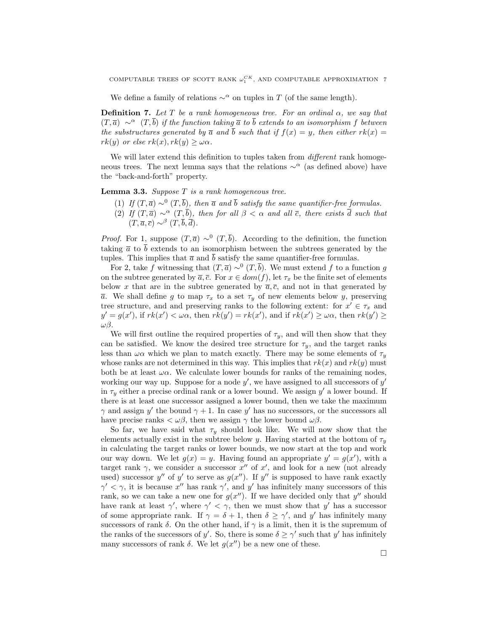We define a family of relations  $\sim^{\alpha}$  on tuples in T (of the same length).

**Definition 7.** Let T be a rank homogeneous tree. For an ordinal  $\alpha$ , we say that  $(T, \bar{a}) \sim^{\alpha} (T, \bar{b})$  if the function taking  $\bar{a}$  to  $\bar{b}$  extends to an isomorphism f between the substructures generated by  $\overline{a}$  and  $\overline{b}$  such that if  $f(x) = y$ , then either  $rk(x) =$  $rk(y)$  or else  $rk(x), rk(y) \geq \omega\alpha$ .

We will later extend this definition to tuples taken from *different* rank homogeneous trees. The next lemma says that the relations  $\sim^{\alpha}$  (as defined above) have the "back-and-forth" property.

**Lemma 3.3.** Suppose  $T$  is a rank homogeneous tree.

- (1) If  $(T, \overline{a}) \sim^0 (T, \overline{b})$ , then  $\overline{a}$  and  $\overline{b}$  satisfy the same quantifier-free formulas.
- (2) If  $(T, \overline{a}) \sim^{\alpha} (T, \overline{b})$ , then for all  $\beta < \alpha$  and all  $\overline{c}$ , there exists  $\overline{d}$  such that  $(T, \overline{a}, \overline{c}) \sim^{\beta} (T, \overline{b}, \overline{d}).$

*Proof.* For 1, suppose  $(T,\bar{a}) \sim^0 (T,\bar{b})$ . According to the definition, the function taking  $\bar{a}$  to  $\bar{b}$  extends to an isomorphism between the subtrees generated by the tuples. This implies that  $\bar{a}$  and  $\bar{b}$  satisfy the same quantifier-free formulas.

For 2, take f witnessing that  $(T,\overline{a}) \sim^0 (T,\overline{b})$ . We must extend f to a function g on the subtree generated by  $\overline{a}, \overline{c}$ . For  $x \in dom(f)$ , let  $\tau_x$  be the finite set of elements below x that are in the subtree generated by  $\bar{a}, \bar{c}$ , and not in that generated by  $\overline{a}$ . We shall define g to map  $\tau_x$  to a set  $\tau_y$  of new elements below y, preserving tree structure, and and preserving ranks to the following extent: for  $x' \in \tau_x$  and  $y' = g(x')$ , if  $rk(x') < \omega \alpha$ , then  $rk(y') = rk(x')$ , and if  $rk(x') \geq \omega \alpha$ , then  $rk(y') \geq$ ωβ.

We will first outline the required properties of  $\tau_y$ , and will then show that they can be satisfied. We know the desired tree structure for  $\tau_y$ , and the target ranks less than  $\omega\alpha$  which we plan to match exactly. There may be some elements of  $\tau_y$ whose ranks are not determined in this way. This implies that  $rk(x)$  and  $rk(y)$  must both be at least  $\omega\alpha$ . We calculate lower bounds for ranks of the remaining nodes, working our way up. Suppose for a node  $y'$ , we have assigned to all successors of  $y'$ in  $\tau_y$  either a precise ordinal rank or a lower bound. We assign  $y'$  a lower bound. If there is at least one successor assigned a lower bound, then we take the maximum  $\gamma$  and assign y' the bound  $\gamma + 1$ . In case y' has no successors, or the successors all have precise ranks  $\langle \omega \beta \rangle$ , then we assign  $\gamma$  the lower bound  $\omega \beta$ .

So far, we have said what  $\tau_y$  should look like. We will now show that the elements actually exist in the subtree below y. Having started at the bottom of  $\tau_y$ in calculating the target ranks or lower bounds, we now start at the top and work our way down. We let  $g(x) = y$ . Having found an appropriate  $y' = g(x')$ , with a target rank  $\gamma$ , we consider a successor  $x''$  of  $x'$ , and look for a new (not already used) successor y'' of y' to serve as  $g(x'')$ . If y'' is supposed to have rank exactly  $\gamma' < \gamma$ , it is because x'' has rank  $\gamma'$ , and y' has infinitely many successors of this rank, so we can take a new one for  $g(x'')$ . If we have decided only that y'' should have rank at least  $\gamma'$ , where  $\gamma' < \gamma$ , then we must show that y' has a successor of some appropriate rank. If  $\gamma = \delta + 1$ , then  $\delta \geq \gamma'$ , and y' has infinitely many successors of rank  $\delta$ . On the other hand, if  $\gamma$  is a limit, then it is the supremum of the ranks of the successors of y'. So, there is some  $\delta \geq \gamma'$  such that y' has infinitely many successors of rank  $\delta$ . We let  $g(x'')$  be a new one of these.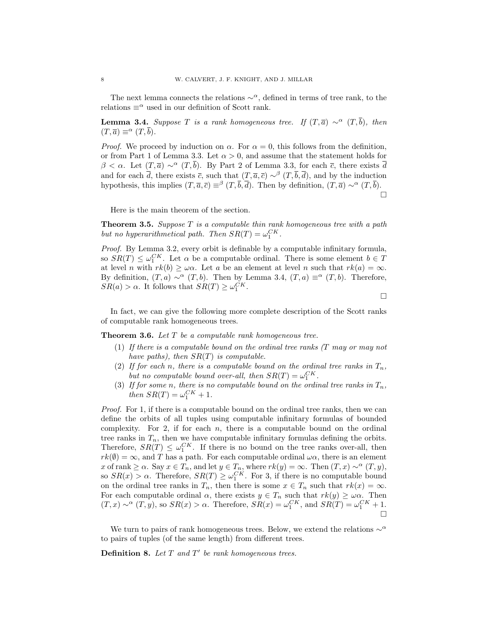The next lemma connects the relations  $\sim^{\alpha}$ , defined in terms of tree rank, to the relations  $\equiv^{\alpha}$  used in our definition of Scott rank.

**Lemma 3.4.** Suppose T is a rank homogeneous tree. If  $(T, \overline{a}) \sim^{\alpha} (T, \overline{b})$ , then  $(T, \overline{a}) \equiv^{\alpha} (T, \overline{b}).$ 

*Proof.* We proceed by induction on  $\alpha$ . For  $\alpha = 0$ , this follows from the definition, or from Part 1 of Lemma 3.3. Let  $\alpha > 0$ , and assume that the statement holds for  $\beta < \alpha$ . Let  $(T, \overline{a}) \sim^{\alpha} (T, \overline{b})$ . By Part 2 of Lemma 3.3, for each  $\overline{c}$ , there exists  $\overline{d}$ and for each  $\bar{d}$ , there exists  $\bar{c}$ , such that  $(T, \bar{a}, \bar{c}) \sim^{\beta} (T, \bar{b}, \bar{d})$ , and by the induction hypothesis, this implies  $(T, \overline{a}, \overline{c}) \equiv^{\beta} (T, \overline{b}, \overline{d})$ . Then by definition,  $(T, \overline{a}) \sim^{\alpha} (T, \overline{b})$ .

 $\Box$ 

Here is the main theorem of the section.

**Theorem 3.5.** Suppose  $T$  is a computable thin rank homogeneous tree with a path but no hyperarithmetical path. Then  $SR(T) = \omega_1^{CK}$ .

Proof. By Lemma 3.2, every orbit is definable by a computable infinitary formula, so  $SR(T) \leq \omega_1^{CK}$ . Let  $\alpha$  be a computable ordinal. There is some element  $b \in T$ at level n with  $rk(b) \geq \omega \alpha$ . Let a be an element at level n such that  $rk(a) = \infty$ . By definition,  $(T, a) \sim^{\alpha} (T, b)$ . Then by Lemma 3.4,  $(T, a) \equiv^{\alpha} (T, b)$ . Therefore,  $SR(a) > \alpha$ . It follows that  $SR(T) \geq \omega_1^{CK}$ .

 $\Box$ 

In fact, we can give the following more complete description of the Scott ranks of computable rank homogeneous trees.

**Theorem 3.6.** Let T be a computable rank homogeneous tree.

- (1) If there is a computable bound on the ordinal tree ranks (T may or may not have paths), then  $SR(T)$  is computable.
- (2) If for each n, there is a computable bound on the ordinal tree ranks in  $T_n$ , but no computable bound over-all, then  $SR(T) = \omega_1^{CK}$ .
- (3) If for some n, there is no computable bound on the ordinal tree ranks in  $T_n$ , then  $SR(T) = \omega_1^{CK} + 1$ .

Proof. For 1, if there is a computable bound on the ordinal tree ranks, then we can define the orbits of all tuples using computable infinitary formulas of bounded complexity. For 2, if for each  $n$ , there is a computable bound on the ordinal tree ranks in  $T_n$ , then we have computable infinitary formulas defining the orbits. Therefore,  $SR(T) \leq \omega_1^{CK}$ . If there is no bound on the tree ranks over-all, then  $rk(\emptyset) = \infty$ , and T has a path. For each computable ordinal  $\omega \alpha$ , there is an element x of rank  $\geq \alpha$ . Say  $x \in T_n$ , and let  $y \in T_n$ , where  $rk(y) = \infty$ . Then  $(T, x) \sim^{\alpha} (T, y)$ , so  $SR(x) > \alpha$ . Therefore,  $SR(T) \geq \omega_1^{CK}$ . For 3, if there is no computable bound on the ordinal tree ranks in  $T_n$ , then there is some  $x \in T_n$  such that  $rk(x) = \infty$ . For each computable ordinal  $\alpha$ , there exists  $y \in T_n$  such that  $rk(y) \geq \omega \alpha$ . Then  $(T, x) \sim^{\alpha} (T, y)$ , so  $SR(x) > \alpha$ . Therefore,  $SR(x) = \omega_1^{CK}$ , and  $SR(T) = \omega_1^{CK} + 1$ .  $\Box$ 

We turn to pairs of rank homogeneous trees. Below, we extend the relations  $\sim^\alpha$ to pairs of tuples (of the same length) from different trees.

**Definition 8.** Let  $T$  and  $T'$  be rank homogeneous trees.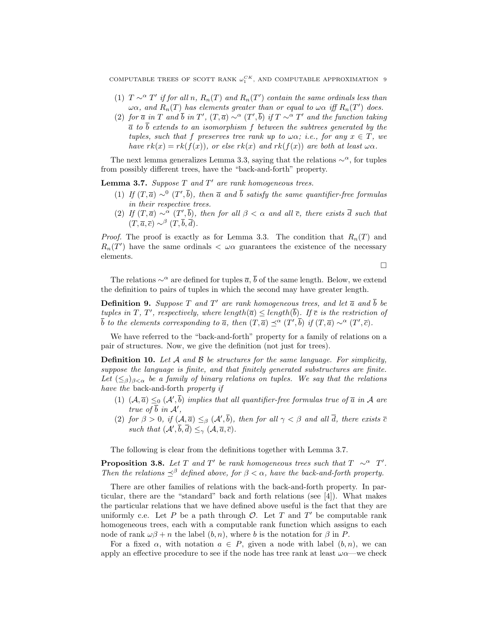COMPUTABLE TREES OF SCOTT RANK  $\omega_1^{CK}$ , AND COMPUTABLE APPROXIMATION 9

- (1)  $T \sim^{\alpha} T'$  if for all n,  $R_n(T)$  and  $R_n(T')$  contain the same ordinals less than  $\omega\alpha$ , and  $R_n(T)$  has elements greater than or equal to  $\omega\alpha$  iff  $R_n(T')$  does.
- (2) for  $\bar{a}$  in T and  $\bar{b}$  in T',  $(T, \bar{a}) \sim^{\alpha} (T', \bar{b})$  if  $T \sim^{\alpha} T'$  and the function taking  $\overline{a}$  to  $\overline{b}$  extends to an isomorphism f between the subtrees generated by the tuples, such that f preserves tree rank up to  $\omega \alpha$ ; i.e., for any  $x \in T$ , we have  $rk(x) = rk(f(x))$ , or else  $rk(x)$  and  $rk(f(x))$  are both at least  $\omega\alpha$ .

The next lemma generalizes Lemma 3.3, saying that the relations  $\sim^{\alpha}$ , for tuples from possibly different trees, have the "back-and-forth" property.

**Lemma 3.7.** Suppose  $T$  and  $T'$  are rank homogeneous trees.

- (1) If  $(T, \overline{a}) \sim^0 (T', \overline{b})$ , then  $\overline{a}$  and  $\overline{b}$  satisfy the same quantifier-free formulas in their respective trees.
- (2) If  $(T, \overline{a}) \sim^{\alpha} (T', \overline{b})$ , then for all  $\beta < \alpha$  and all  $\overline{c}$ , there exists  $\overline{d}$  such that  $(T, \overline{a}, \overline{c}) \sim^{\beta} (T, \overline{b}, \overline{d}).$

*Proof.* The proof is exactly as for Lemma 3.3. The condition that  $R_n(T)$  and  $R_n(T')$  have the same ordinals  $\langle \omega \alpha \rangle$  guarantees the existence of the necessary elements.

 $\Box$ 

The relations  $\sim^{\alpha}$  are defined for tuples  $\bar{a}$ ,  $\bar{b}$  of the same length. Below, we extend the definition to pairs of tuples in which the second may have greater length.

**Definition 9.** Suppose T and T' are rank homogeneous trees, and let  $\overline{a}$  and  $\overline{b}$  be tuples in T, T', respectively, where length( $\overline{a}$ )  $\leq$  length( $\overline{b}$ ). If  $\overline{c}$  is the restriction of  $\bar{b}$  to the elements corresponding to  $\bar{a}$ , then  $(T,\bar{a}) \preceq^{\alpha} (T',\bar{b})$  if  $(T,\bar{a}) \sim^{\alpha} (T',\bar{c})$ .

We have referred to the "back-and-forth" property for a family of relations on a pair of structures. Now, we give the definition (not just for trees).

**Definition 10.** Let  $A$  and  $B$  be structures for the same language. For simplicity, suppose the language is finite, and that finitely generated substructures are finite. Let  $(\leq_{\beta})_{\beta<\alpha}$  be a family of binary relations on tuples. We say that the relations have the back-and-forth property if

- (1)  $(A,\overline{a}) \leq_0 (A',\overline{b})$  implies that all quantifier-free formulas true of  $\overline{a}$  in A are true of  $\bar{b}$  in  $\mathcal{A}',$
- (2) for  $\beta > 0$ , if  $(A, \overline{a}) \leq_{\beta} (A', \overline{b})$ , then for all  $\gamma < \beta$  and all  $\overline{d}$ , there exists  $\overline{c}$ such that  $(\mathcal{A}', \overline{b}, \overline{d}) \leq_{\gamma} (\mathcal{A}, \overline{a}, \overline{c}).$

The following is clear from the definitions together with Lemma 3.7.

**Proposition 3.8.** Let T and T' be rank homogeneous trees such that  $T \sim^{\alpha} T'$ . Then the relations  $\preceq^{\beta}$  defined above, for  $\beta < \alpha$ , have the back-and-forth property.

There are other families of relations with the back-and-forth property. In particular, there are the "standard" back and forth relations (see [4]). What makes the particular relations that we have defined above useful is the fact that they are uniformly c.e. Let  $P$  be a path through  $O$ . Let  $T$  and  $T'$  be computable rank homogeneous trees, each with a computable rank function which assigns to each node of rank  $\omega\beta + n$  the label  $(b, n)$ , where b is the notation for  $\beta$  in P.

For a fixed  $\alpha$ , with notation  $a \in P$ , given a node with label  $(b, n)$ , we can apply an effective procedure to see if the node has tree rank at least  $\omega \alpha$ —we check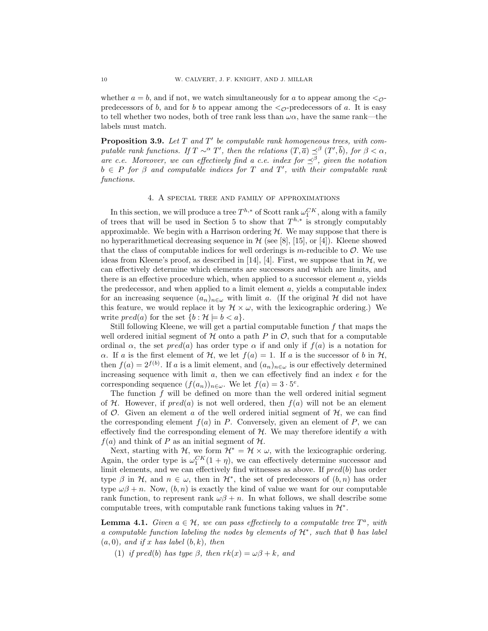whether  $a = b$ , and if not, we watch simultaneously for a to appear among the  $\langle \rho \rangle$ predecessors of b, and for b to appear among the  $\langle \circ \rangle$ -predecessors of a. It is easy to tell whether two nodes, both of tree rank less than  $\omega\alpha$ , have the same rank—the labels must match.

**Proposition 3.9.** Let  $T$  and  $T'$  be computable rank homogeneous trees, with computable rank functions. If  $T \sim^{\alpha} T'$ , then the relations  $(T, \overline{a}) \preceq^{\beta} (T', \overline{b})$ , for  $\beta < \alpha$ , are c.e. Moreover, we can effectively find a c.e. index for  $\preceq^{\beta}$ , given the notation  $b \in P$  for  $\beta$  and computable indices for T and T', with their computable rank functions.

### 4. A special tree and family of approximations

In this section, we will produce a tree  $T^{h,*}$  of Scott rank  $\omega_1^{CK}$ , along with a family of trees that will be used in Section 5 to show that  $T^{h,*}$  is strongly computably approximable. We begin with a Harrison ordering  $H$ . We may suppose that there is no hyperarithmetical decreasing sequence in  $\mathcal H$  (see [8], [15], or [4]). Kleene showed that the class of computable indices for well orderings is m-reducible to  $\mathcal{O}$ . We use ideas from Kleene's proof, as described in [14], [4]. First, we suppose that in  $\mathcal{H}$ , we can effectively determine which elements are successors and which are limits, and there is an effective procedure which, when applied to a successor element  $a$ , yields the predecessor, and when applied to a limit element  $a$ , yields a computable index for an increasing sequence  $(a_n)_{n\in\omega}$  with limit a. (If the original H did not have this feature, we would replace it by  $\mathcal{H} \times \omega$ , with the lexicographic ordering.) We write  $pred(a)$  for the set  $\{b : \mathcal{H} \models b < a\}.$ 

Still following Kleene, we will get a partial computable function  $f$  that maps the well ordered initial segment of  $H$  onto a path P in  $\mathcal{O}$ , such that for a computable ordinal  $\alpha$ , the set  $pred(a)$  has order type  $\alpha$  if and only if  $f(a)$  is a notation for  $\alpha$ . If a is the first element of H, we let  $f(a) = 1$ . If a is the successor of b in H, then  $f(a) = 2^{f(b)}$ . If a is a limit element, and  $(a_n)_{n \in \omega}$  is our effectively determined increasing sequence with limit  $a$ , then we can effectively find an index  $e$  for the corresponding sequence  $(f(a_n))_{n\in\omega}$ . We let  $f(a) = 3 \cdot 5^e$ .

The function  $f$  will be defined on more than the well ordered initial segment of H. However, if  $pred(a)$  is not well ordered, then  $f(a)$  will not be an element of  $\mathcal{O}$ . Given an element a of the well ordered initial segment of  $\mathcal{H}$ , we can find the corresponding element  $f(a)$  in P. Conversely, given an element of P, we can effectively find the corresponding element of  $H$ . We may therefore identify a with  $f(a)$  and think of P as an initial segment of H.

Next, starting with H, we form  $\mathcal{H}^* = \mathcal{H} \times \omega$ , with the lexicographic ordering. Again, the order type is  $\omega_1^{CK}(1+\eta)$ , we can effectively determine successor and limit elements, and we can effectively find witnesses as above. If  $pred(b)$  has order type  $\beta$  in H, and  $n \in \omega$ , then in H<sup>\*</sup>, the set of predecessors of  $(b, n)$  has order type  $\omega\beta + n$ . Now,  $(b, n)$  is exactly the kind of value we want for our computable rank function, to represent rank  $\omega\beta + n$ . In what follows, we shall describe some computable trees, with computable rank functions taking values in  $\mathcal{H}^*$ .

**Lemma 4.1.** Given  $a \in \mathcal{H}$ , we can pass effectively to a computable tree  $T^a$ , with a computable function labeling the nodes by elements of  $\mathcal{H}^*$ , such that  $\emptyset$  has label  $(a, 0)$ , and if x has label  $(b, k)$ , then

(1) if pred(b) has type  $\beta$ , then  $rk(x) = \omega\beta + k$ , and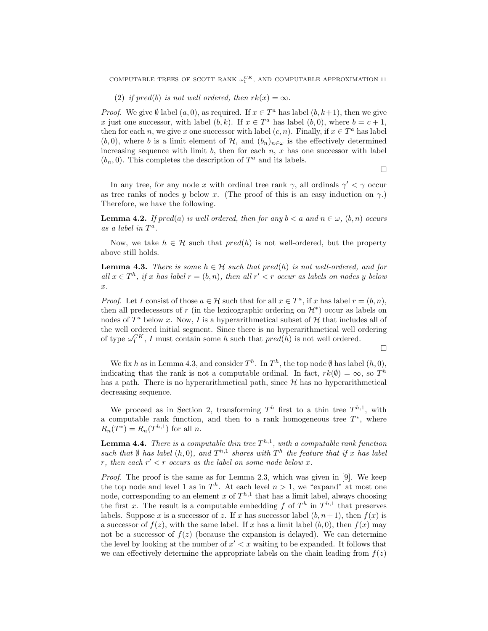COMPUTABLE TREES OF SCOTT RANK  $\omega_{1}^{CK}$ , AND COMPUTABLE APPROXIMATION 11

(2) if pred(b) is not well ordered, then  $rk(x) = \infty$ .

*Proof.* We give  $\emptyset$  label  $(a, 0)$ , as required. If  $x \in T^a$  has label  $(b, k+1)$ , then we give x just one successor, with label  $(b, k)$ . If  $x \in T^a$  has label  $(b, 0)$ , where  $b = c + 1$ , then for each n, we give x one successor with label  $(c, n)$ . Finally, if  $x \in T^a$  has label  $(b, 0)$ , where b is a limit element of H, and  $(b_n)_{n\in\omega}$  is the effectively determined increasing sequence with limit b, then for each  $n, x$  has one successor with label  $(b_n, 0)$ . This completes the description of  $T^a$  and its labels.

 $\Box$ 

In any tree, for any node x with ordinal tree rank  $\gamma$ , all ordinals  $\gamma' < \gamma$  occur as tree ranks of nodes y below x. (The proof of this is an easy induction on  $\gamma$ .) Therefore, we have the following.

**Lemma 4.2.** If  $pred(a)$  is well ordered, then for any  $b < a$  and  $n \in \omega$ ,  $(b, n)$  occurs as a label in  $T^a$ .

Now, we take  $h \in \mathcal{H}$  such that  $pred(h)$  is not well-ordered, but the property above still holds.

**Lemma 4.3.** There is some  $h \in \mathcal{H}$  such that pred(h) is not well-ordered, and for all  $x \in T^h$ , if x has label  $r = (b, n)$ , then all  $r' < r$  occur as labels on nodes y below x.

*Proof.* Let I consist of those  $a \in \mathcal{H}$  such that for all  $x \in T^a$ , if x has label  $r = (b, n)$ , then all predecessors of r (in the lexicographic ordering on  $\mathcal{H}^*$ ) occur as labels on nodes of  $T^a$  below x. Now, I is a hyperarithmetical subset of  $H$  that includes all of the well ordered initial segment. Since there is no hyperarithmetical well ordering of type  $\omega_1^{CK}$ , I must contain some h such that  $pred(h)$  is not well ordered.

 $\Box$ 

We fix h as in Lemma 4.3, and consider  $T^h$ . In  $T^h$ , the top node  $\emptyset$  has label  $(h, 0)$ , indicating that the rank is not a computable ordinal. In fact,  $rk(\theta) = \infty$ , so  $T^h$ has a path. There is no hyperarithmetical path, since  $H$  has no hyperarithmetical decreasing sequence.

We proceed as in Section 2, transforming  $T^h$  first to a thin tree  $T^{h,1}$ , with a computable rank function, and then to a rank homogeneous tree  $T^*$ , where  $R_n(T^*) = R_n(T^{h,1})$  for all n.

**Lemma 4.4.** There is a computable thin tree  $T^{h,1}$ , with a computable rank function such that  $\emptyset$  has label  $(h, 0)$ , and  $T^{h,1}$  shares with  $T^h$  the feature that if x has label r, then each  $r' < r$  occurs as the label on some node below x.

Proof. The proof is the same as for Lemma 2.3, which was given in [9]. We keep the top node and level 1 as in  $T<sup>h</sup>$ . At each level  $n > 1$ , we "expand" at most one node, corresponding to an element x of  $T^{h,1}$  that has a limit label, always choosing the first x. The result is a computable embedding f of  $T^h$  in  $T^{h,1}$  that preserves labels. Suppose x is a successor of z. If x has successor label  $(b, n+1)$ , then  $f(x)$  is a successor of  $f(z)$ , with the same label. If x has a limit label  $(b, 0)$ , then  $f(x)$  may not be a successor of  $f(z)$  (because the expansion is delayed). We can determine the level by looking at the number of  $x' < x$  waiting to be expanded. It follows that we can effectively determine the appropriate labels on the chain leading from  $f(z)$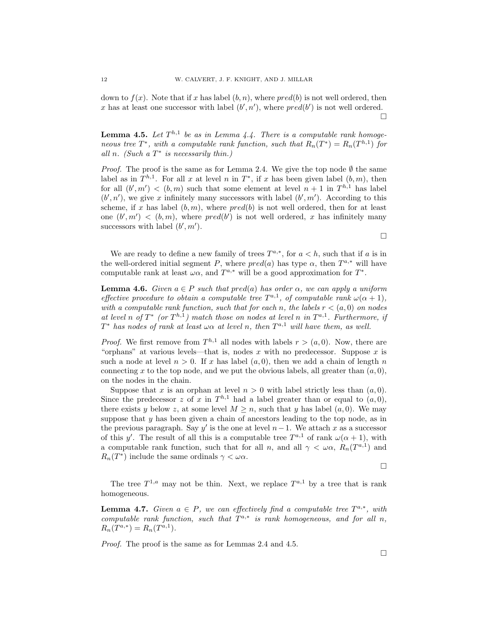down to  $f(x)$ . Note that if x has label  $(b, n)$ , where  $pred(b)$  is not well ordered, then x has at least one successor with label  $(b', n')$ , where  $pred(b')$  is not well ordered.  $\Box$ 

**Lemma 4.5.** Let  $T^{h,1}$  be as in Lemma 4.4. There is a computable rank homogeneous tree  $T^*$ , with a computable rank function, such that  $R_n(T^*) = R_n(T^{h,1})$  for all n. (Such a  $T^*$  is necessarily thin.)

*Proof.* The proof is the same as for Lemma 2.4. We give the top node  $\emptyset$  the same label as in  $T^{h,1}$ . For all x at level n in  $T^*$ , if x has been given label  $(b,m)$ , then for all  $(b', m') < (b, m)$  such that some element at level  $n + 1$  in  $T^{h,1}$  has label  $(b', n')$ , we give x infinitely many successors with label  $(b', m')$ . According to this scheme, if x has label  $(b, m)$ , where  $pred(b)$  is not well ordered, then for at least one  $(b', m') < (b, m)$ , where  $pred(b')$  is not well ordered, x has infinitely many successors with label  $(b', m')$ .

 $\Box$ 

We are ready to define a new family of trees  $T^{a,*}$ , for  $a < h$ , such that if a is in the well-ordered initial segment P, where  $pred(a)$  has type  $\alpha$ , then  $T^{a,*}$  will have computable rank at least  $\omega \alpha$ , and  $T^{a,*}$  will be a good approximation for  $T^*$ .

**Lemma 4.6.** Given  $a \in P$  such that  $pred(a)$  has order  $\alpha$ , we can apply a uniform effective procedure to obtain a computable tree  $T^{a,1}$ , of computable rank  $\omega(\alpha+1)$ , with a computable rank function, such that for each n, the labels  $r < (a, 0)$  on nodes at level n of  $T^*$  (or  $T^{h,1}$ ) match those on nodes at level n in  $T^{a,1}$ . Furthermore, if  $T^*$  has nodes of rank at least  $\omega \alpha$  at level n, then  $T^{a,1}$  will have them, as well.

*Proof.* We first remove from  $T^{h,1}$  all nodes with labels  $r > (a, 0)$ . Now, there are "orphans" at various levels—that is, nodes x with no predecessor. Suppose x is such a node at level  $n > 0$ . If x has label  $(a, 0)$ , then we add a chain of length n connecting x to the top node, and we put the obvious labels, all greater than  $(a, 0)$ , on the nodes in the chain.

Suppose that x is an orphan at level  $n > 0$  with label strictly less than  $(a, 0)$ . Since the predecessor z of x in  $T^{h,1}$  had a label greater than or equal to  $(a,0)$ , there exists y below z, at some level  $M \geq n$ , such that y has label  $(a, 0)$ . We may suppose that  $y$  has been given a chain of ancestors leading to the top node, as in the previous paragraph. Say  $y'$  is the one at level  $n-1$ . We attach x as a successor of this y'. The result of all this is a computable tree  $T^{a,1}$  of rank  $\omega(\alpha+1)$ , with a computable rank function, such that for all n, and all  $\gamma < \omega \alpha$ ,  $R_n(T^{a,1})$  and  $R_n(T^*)$  include the same ordinals  $\gamma < \omega \alpha$ .

 $\Box$ 

The tree  $T^{1,a}$  may not be thin. Next, we replace  $T^{a,1}$  by a tree that is rank homogeneous.

**Lemma 4.7.** Given  $a \in P$ , we can effectively find a computable tree  $T^{a,*}$ , with computable rank function, such that  $T^{a,*}$  is rank homogeneous, and for all n,  $R_n(T^{a,*}) = R_n(T^{a,1}).$ 

Proof. The proof is the same as for Lemmas 2.4 and 4.5.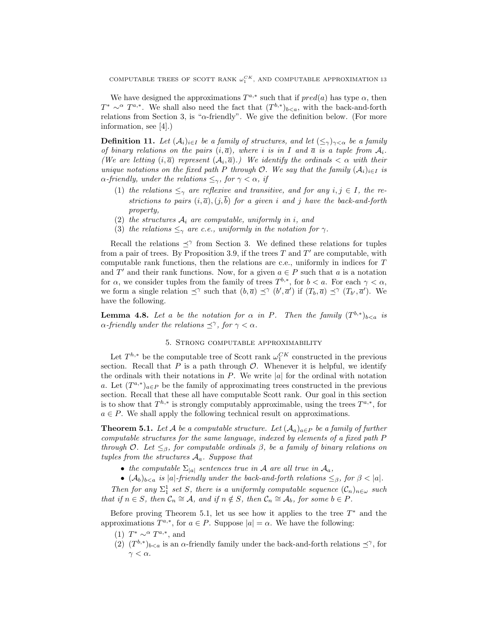We have designed the approximations  $T^{a,*}$  such that if  $pred(a)$  has type  $\alpha$ , then  $T^* \sim \alpha T^{a,*}$ . We shall also need the fact that  $(T^{b,*})_{b, with the back-and-forth$ relations from Section 3, is " $\alpha$ -friendly". We give the definition below. (For more information, see [4].)

**Definition 11.** Let  $(A_i)_{i\in I}$  be a family of structures, and let  $(\leq_{\gamma})_{\gamma<\alpha}$  be a family of binary relations on the pairs  $(i, \overline{a})$ , where i is in I and  $\overline{a}$  is a tuple from  $A_i$ . (We are letting  $(i, \overline{a})$  represent  $(A_i, \overline{a})$ .) We identify the ordinals  $\lt \alpha$  with their unique notations on the fixed path P through O. We say that the family  $(A_i)_{i\in I}$  is  $\alpha$ -friendly, under the relations  $\leq_\gamma$ , for  $\gamma < \alpha$ , if

- (1) the relations  $\leq_\gamma$  are reflexive and transitive, and for any  $i, j \in I$ , the restrictions to pairs  $(i, \bar{a})$ ,  $(j, \bar{b})$  for a given i and j have the back-and-forth property,
- (2) the structures  $A_i$  are computable, uniformly in i, and
- (3) the relations  $\leq_\gamma$  are c.e., uniformly in the notation for  $\gamma$ .

Recall the relations  $\preceq^{\gamma}$  from Section 3. We defined these relations for tuples from a pair of trees. By Proposition 3.9, if the trees  $T$  and  $T'$  are computable, with computable rank functions, then the relations are c.e., uniformly in indices for T and T' and their rank functions. Now, for a given  $a \in P$  such that a is a notation for  $\alpha$ , we consider tuples from the family of trees  $T^{b,*}$ , for  $b < a$ . For each  $\gamma < \alpha$ , we form a single relation  $\preceq^{\gamma}$  such that  $(b,\overline{a}) \preceq^{\gamma} (b',\overline{a}')$  if  $(T_b,\overline{a}) \preceq^{\gamma} (T_{b'},\overline{a}')$ . We have the following.

**Lemma 4.8.** Let a be the notation for  $\alpha$  in P. Then the family  $(T^{b,*})_{b is$  $\alpha$ -friendly under the relations  $\preceq^{\gamma}$ , for  $\gamma < \alpha$ .

#### 5. Strong computable approximability

Let  $T^{h,*}$  be the computable tree of Scott rank  $\omega_1^{CK}$  constructed in the previous section. Recall that  $P$  is a path through  $\mathcal{O}$ . Whenever it is helpful, we identify the ordinals with their notations in  $P$ . We write |a| for the ordinal with notation a. Let  $(T^{a,*})_{a\in P}$  be the family of approximating trees constructed in the previous section. Recall that these all have computable Scott rank. Our goal in this section is to show that  $T^{h,*}$  is strongly computably approximable, using the trees  $T^{a,*}$ , for  $a \in P$ . We shall apply the following technical result on approximations.

**Theorem 5.1.** Let A be a computable structure. Let  $(A_a)_{a \in P}$  be a family of further computable structures for the same language, indexed by elements of a fixed path P through O. Let  $\leq_{\beta}$ , for computable ordinals  $\beta$ , be a family of binary relations on tuples from the structures  $A_a$ . Suppose that

- the computable  $\Sigma_{|a|}$  sentences true in A are all true in  $\mathcal{A}_a$ ,
- $(\mathcal{A}_b)_{b is  $|a|$ -friendly under the back-and-forth relations  $\leq_{\beta}$ , for  $\beta < |a|$ .$

Then for any  $\Sigma_1^1$  set S, there is a uniformly computable sequence  $(\mathcal{C}_n)_{n\in\omega}$  such that if  $n \in S$ , then  $\mathcal{C}_n \cong \mathcal{A}$ , and if  $n \notin S$ , then  $\mathcal{C}_n \cong \mathcal{A}_b$ , for some  $b \in P$ .

Before proving Theorem 5.1, let us see how it applies to the tree  $T^*$  and the approximations  $T^{a,*}$ , for  $a \in P$ . Suppose  $|a| = \alpha$ . We have the following:

- (1)  $T^* \sim \alpha T^{a,*}$ , and
- (2)  $(T^{b,*})_{b is an  $\alpha$ -friendly family under the back-and-forth relations  $\preceq^{\gamma}$ , for$  $\gamma < \alpha$ .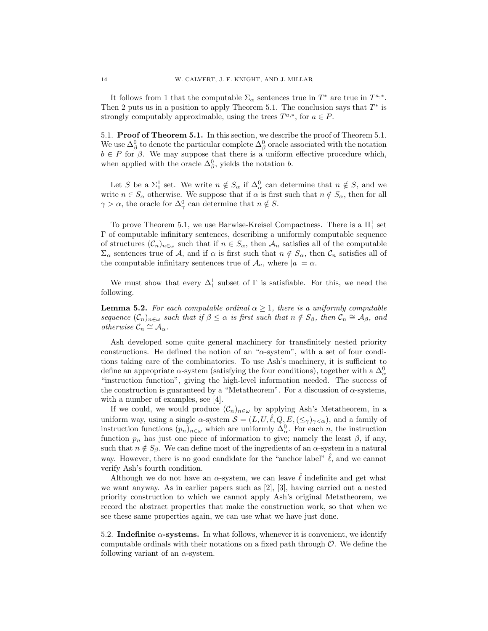It follows from 1 that the computable  $\Sigma_{\alpha}$  sentences true in  $T^*$  are true in  $T^{a,*}$ . Then 2 puts us in a position to apply Theorem 5.1. The conclusion says that  $T^*$  is strongly computably approximable, using the trees  $T^{a,*}$ , for  $a \in P$ .

5.1. Proof of Theorem 5.1. In this section, we describe the proof of Theorem 5.1. We use  $\Delta^0_\beta$  to denote the particular complete  $\Delta^0_\beta$  oracle associated with the notation  $b \in P$  for  $\beta$ . We may suppose that there is a uniform effective procedure which, when applied with the oracle  $\Delta_{\beta}^0$ , yields the notation b.

Let S be a  $\Sigma_1^1$  set. We write  $n \notin S_\alpha$  if  $\Delta_\alpha^0$  can determine that  $n \notin S$ , and we write  $n \in S_\alpha$  otherwise. We suppose that if  $\alpha$  is first such that  $n \notin S_\alpha$ , then for all  $\gamma > \alpha$ , the oracle for  $\Delta_{\gamma}^{0}$  can determine that  $n \notin S$ .

To prove Theorem 5.1, we use Barwise-Kreisel Compactness. There is a  $\Pi^1_1$  set Γ of computable infinitary sentences, describing a uniformly computable sequence of structures  $(\mathcal{C}_n)_{n\in\omega}$  such that if  $n\in S_\alpha$ , then  $\mathcal{A}_n$  satisfies all of the computable  $\Sigma_{\alpha}$  sentences true of A, and if  $\alpha$  is first such that  $n \notin S_{\alpha}$ , then  $\mathcal{C}_n$  satisfies all of the computable infinitary sentences true of  $A_a$ , where  $|a| = \alpha$ .

We must show that every  $\Delta_1^1$  subset of  $\Gamma$  is satisfiable. For this, we need the following.

**Lemma 5.2.** For each computable ordinal  $\alpha \geq 1$ , there is a uniformly computable sequence  $(C_n)_{n\in\omega}$  such that if  $\beta \leq \alpha$  is first such that  $n \notin S_\beta$ , then  $\mathcal{C}_n \cong \mathcal{A}_\beta$ , and otherwise  $\mathcal{C}_n \cong \mathcal{A}_{\alpha}$ .

Ash developed some quite general machinery for transfinitely nested priority constructions. He defined the notion of an " $\alpha$ -system", with a set of four conditions taking care of the combinatorics. To use Ash's machinery, it is sufficient to define an appropriate  $\alpha$ -system (satisfying the four conditions), together with a  $\Delta_{\alpha}^{0}$ "instruction function", giving the high-level information needed. The success of the construction is guaranteed by a "Metatheorem". For a discussion of  $\alpha$ -systems, with a number of examples, see [4].

If we could, we would produce  $(\mathcal{C}_n)_{n\in\omega}$  by applying Ash's Metatheorem, in a uniform way, using a single  $\alpha$ -system  $\mathcal{S} = (L, U, \ell, Q, E, (\leq_{\gamma})_{\gamma < \alpha})$ , and a family of instruction functions  $(p_n)_{n \in \omega}$  which are uniformly  $\Delta_{\alpha}^0$ . For each n, the instruction function  $p_n$  has just one piece of information to give; namely the least  $\beta$ , if any, such that  $n \notin S_\beta$ . We can define most of the ingredients of an  $\alpha$ -system in a natural way. However, there is no good candidate for the "anchor label"  $\hat{\ell}$ , and we cannot verify Ash's fourth condition.

Although we do not have an  $\alpha$ -system, we can leave  $\ell$  indefinite and get what we want anyway. As in earlier papers such as [2], [3], having carried out a nested priority construction to which we cannot apply Ash's original Metatheorem, we record the abstract properties that make the construction work, so that when we see these same properties again, we can use what we have just done.

5.2. Indefinite  $\alpha$ -systems. In what follows, whenever it is convenient, we identify computable ordinals with their notations on a fixed path through  $\mathcal O$ . We define the following variant of an  $\alpha$ -system.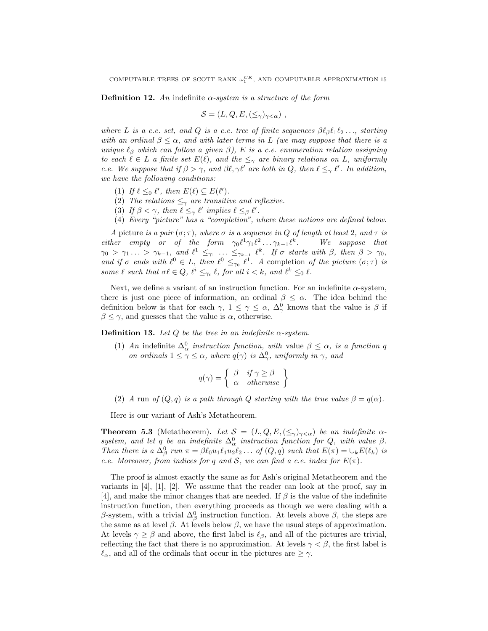**Definition 12.** An indefinite  $\alpha$ -system is a structure of the form

$$
\mathcal{S} = (L, Q, E, (\leq_{\gamma})_{\gamma < \alpha}) ,
$$

where L is a c.e. set, and Q is a c.e. tree of finite sequences  $\beta \ell_{\beta} \ell_1 \ell_2 \ldots$ , starting with an ordinal  $\beta \leq \alpha$ , and with later terms in L (we may suppose that there is a unique  $\ell_\beta$  which can follow a given  $\beta$ ), E is a c.e. enumeration relation assigning to each  $\ell \in L$  a finite set  $E(\ell)$ , and the  $\leq_{\gamma}$  are binary relations on L, uniformly c.e. We suppose that if  $\beta > \gamma$ , and  $\beta \ell, \gamma \ell'$  are both in Q, then  $\ell \leq_{\gamma} \ell'$ . In addition, we have the following conditions:

- (1) If  $\ell \leq_0 \ell'$ , then  $E(\ell) \subseteq E(\ell')$ .
- (2) The relations  $\leq_\gamma$  are transitive and reflexive.
- (3) If  $\beta < \gamma$ , then  $\ell \leq_{\gamma} \ell'$  implies  $\ell \leq_{\beta} \ell'$ .
- (4) Every "picture" has a "completion", where these notions are defined below.

A picture is a pair  $(\sigma; \tau)$ , where  $\sigma$  is a sequence in Q of length at least 2, and  $\tau$  is either empty or of the form  $\gamma_0 \ell^1 \gamma_1 \ell^2 \ldots \gamma_{k-1} \ell^k$ . We suppose that  $\gamma_0 > \gamma_1 \ldots > \gamma_{k-1}$ , and  $\ell^1 \leq_{\gamma_1} \ldots \leq_{\gamma_{k-1}} \ell^k$ . If  $\sigma$  starts with  $\beta$ , then  $\beta > \gamma_0$ , and if  $\sigma$  ends with  $\ell^0 \in L$ , then  $\ell^0 \leq_{\gamma_0} \ell^1$ . A completion of the picture  $(\sigma; \tau)$  is some  $\ell$  such that  $\sigma \ell \in Q$ ,  $\ell^i \leq_{\gamma_i} \ell$ , for all  $i < k$ , and  $\ell^k \leq_0 \ell$ .

Next, we define a variant of an instruction function. For an indefinite  $\alpha$ -system, there is just one piece of information, an ordinal  $\beta \leq \alpha$ . The idea behind the definition below is that for each  $\gamma$ ,  $1 \leq \gamma \leq \alpha$ ,  $\Delta_{\gamma}^{0}$  knows that the value is  $\beta$  if  $\beta \leq \gamma$ , and guesses that the value is  $\alpha$ , otherwise.

**Definition 13.** Let  $Q$  be the tree in an indefinite  $\alpha$ -system.

(1) An indefinite  $\Delta_{\alpha}^{0}$  instruction function, with value  $\beta \leq \alpha$ , is a function q on ordinals  $1 \leq \gamma \leq \alpha$ , where  $q(\gamma)$  is  $\Delta_{\gamma}^0$ , uniformly in  $\gamma$ , and

$$
q(\gamma) = \left\{ \begin{array}{ll} \beta & \text{if } \gamma \ge \beta \\ \alpha & \text{otherwise} \end{array} \right\}
$$

(2) A run of  $(Q, q)$  is a path through Q starting with the true value  $\beta = q(\alpha)$ .

Here is our variant of Ash's Metatheorem.

**Theorem 5.3** (Metatheorem). Let  $S = (L, Q, E, (\leq_{\gamma})_{\gamma < \alpha})$  be an indefinite  $\alpha$ system, and let q be an indefinite  $\Delta_{\alpha}^{0}$  instruction function for Q, with value  $\beta$ . Then there is a  $\Delta_{\beta}^0$  run  $\pi = \beta \ell_0 u_1 \ell_1 u_2 \ell_2 \ldots$  of  $(Q, q)$  such that  $E(\pi) = \bigcup_k E(\ell_k)$  is c.e. Moreover, from indices for q and S, we can find a c.e. index for  $E(\pi)$ .

The proof is almost exactly the same as for Ash's original Metatheorem and the variants in  $[4]$ ,  $[1]$ ,  $[2]$ . We assume that the reader can look at the proof, say in [4], and make the minor changes that are needed. If  $\beta$  is the value of the indefinite instruction function, then everything proceeds as though we were dealing with a  $\beta$ -system, with a trivial  $\Delta_{\beta}^{0}$  instruction function. At levels above  $\beta$ , the steps are the same as at level  $\beta$ . At levels below  $\beta$ , we have the usual steps of approximation. At levels  $\gamma \geq \beta$  and above, the first label is  $\ell_{\beta}$ , and all of the pictures are trivial, reflecting the fact that there is no approximation. At levels  $\gamma < \beta$ , the first label is  $\ell_{\alpha}$ , and all of the ordinals that occur in the pictures are  $\geq \gamma$ .